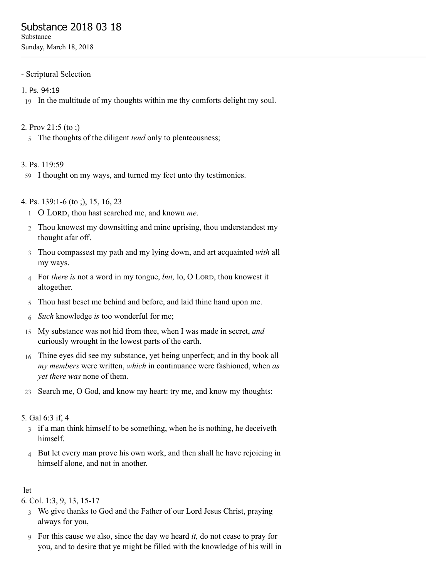# Substance 2018 03 18

Substance Sunday, March 18, 2018

- Scriptural Selection

#### 1. Ps. [94:19](http://www.concordworks.com/citation/Ps.%2094:19)

19 In the multitude of my thoughts within me thy comforts delight my soul.

#### 2. [Prov 21:5 \(to ;\)](http://www.concordworks.com/citation/Prov%2021:5%20(to%20;))

5 The thoughts of the diligent *tend* only to plenteousness;

#### 3. [Ps. 119:59](http://www.concordworks.com/citation/Ps.%20119:59)

59 I thought on my ways, and turned my feet unto thy testimonies.

### 4. [Ps. 139:1-6 \(to ;\), 15, 16, 23](http://www.concordworks.com/citation/Ps.%20139:1-6%20(to%20;),%2015,%2016,%2023)

- 1 O LORD, thou hast searched me, and known me.
- 2 Thou knowest my downsitting and mine uprising, thou understandest my thought afar off.
- 3 Thou compassest my path and my lying down, and art acquainted *with* all my ways.
- 4 For *there is* not a word in my tongue, *but*, lo, O LORD, thou knowest it altogether.
- 5 Thou hast beset me behind and before, and laid thine hand upon me.
- 6 *Such* knowledge *is* too wonderful for me;
- 15 My substance was not hid from thee, when I was made in secret, *and* curiously wrought in the lowest parts of the earth.
- 16 Thine eyes did see my substance, yet being unperfect; and in thy book all *my members* were written, *which* in continuance were fashioned, when *as yet there was* none of them.
- 23 Search me, O God, and know my heart: try me, and know my thoughts:

#### 5. [Gal 6:3 if, 4](http://www.concordworks.com/citation/Gal%206:3%20if,%204)

- 3 if a man think himself to be something, when he is nothing, he deceiveth himself.
- 4 But let every man prove his own work, and then shall he have rejoicing in himself alone, and not in another.

### let

6. [Col. 1:3, 9, 13, 15-17](http://www.concordworks.com/citation/Col.%201:3,%209,%2013,%2015-17)

- 3 We give thanks to God and the Father of our Lord Jesus Christ, praying always for you,
- 9 For this cause we also, since the day we heard *it,* do not cease to pray for you, and to desire that ye might be filled with the knowledge of his will in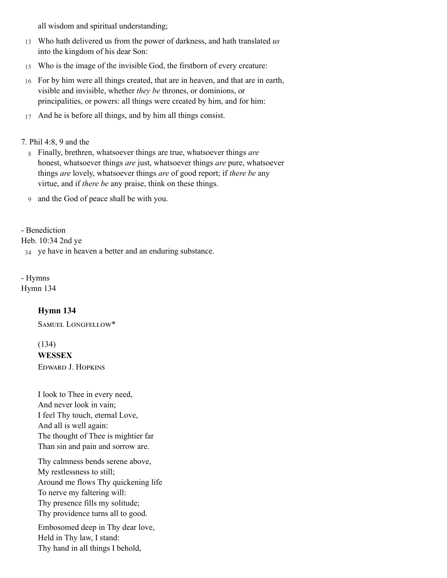all wisdom and spiritual understanding;

- 13 Who hath delivered us from the power of darkness, and hath translated *us* into the kingdom of his dear Son:
- 15 Who is the image of the invisible God, the firstborn of every creature:
- 16 For by him were all things created, that are in heaven, and that are in earth, visible and invisible, whether *they be* thrones, or dominions, or principalities, or powers: all things were created by him, and for him:
- 17 And he is before all things, and by him all things consist.

#### 7. [Phil 4:8, 9 and the](http://www.concordworks.com/citation/Phil%204:8,%209%20and%20the)

- 8 Finally, brethren, whatsoever things are true, whatsoever things *are* honest, whatsoever things *are* just, whatsoever things *are* pure, whatsoever things *are* lovely, whatsoever things *are* of good report; if *there be* any virtue, and if *there be* any praise, think on these things.
- 9 and the God of peace shall be with you.

### - Benediction

[Heb. 10:34 2nd ye](http://www.concordworks.com/citation/Heb.%2010:34%202nd%20ye)

34 ye have in heaven a better and an enduring substance.

- Hymns

[Hymn 134](http://www.concordworks.com/citation/Hymn%20134)

## Hymn 134

SAMUEL LONGFELLOW\*

(134)

#### WESSEX

EDWARD J. HOPKINS

I look to Thee in every need, And never look in vain; I feel Thy touch, eternal Love, And all is well again: The thought of Thee is mightier far Than sin and pain and sorrow are.

Thy calmness bends serene above, My restlessness to still; Around me flows Thy quickening life To nerve my faltering will: Thy presence fills my solitude; Thy providence turns all to good.

Embosomed deep in Thy dear love, Held in Thy law, I stand: Thy hand in all things I behold,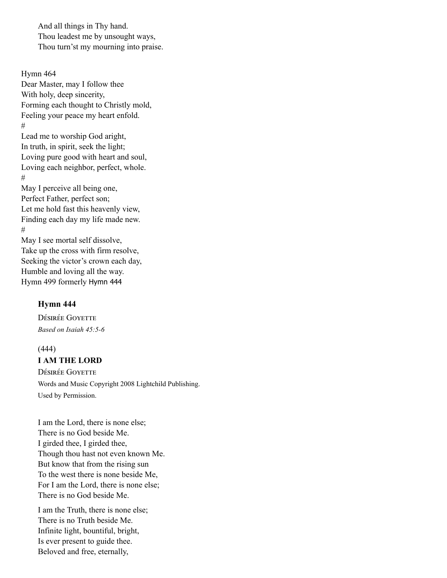And all things in Thy hand. Thou leadest me by unsought ways, Thou turn'st my mourning into praise.

Hymn 464 Dear Master, may I follow thee With holy, deep sincerity, Forming each thought to Christly mold, Feeling your peace my heart enfold. # Lead me to worship God aright, In truth, in spirit, seek the light; Loving pure good with heart and soul, Loving each neighbor, perfect, whole. # May I perceive all being one, Perfect Father, perfect son; Let me hold fast this heavenly view, Finding each day my life made new. # May I see mortal self dissolve, Take up the cross with firm resolve, Seeking the victor's crown each day, Humble and loving all the way. Hymn 499 formerly [Hymn](http://www.concordworks.com/citation/Hymn%20444) 444

#### Hymn 444

DÉSIRÉE GOYETTE *Based on Isaiah 45:5-6*

#### (444)

I AM THE LORD

DÉSIRÉE GOYETTE Words and Music Copyright 2008 Lightchild Publishing. Used by Permission.

I am the Lord, there is none else; There is no God beside Me. I girded thee, I girded thee, Though thou hast not even known Me. But know that from the rising sun To the west there is none beside Me, For I am the Lord, there is none else; There is no God beside Me.

I am the Truth, there is none else; There is no Truth beside Me. Infinite light, bountiful, bright, Is ever present to guide thee. Beloved and free, eternally,